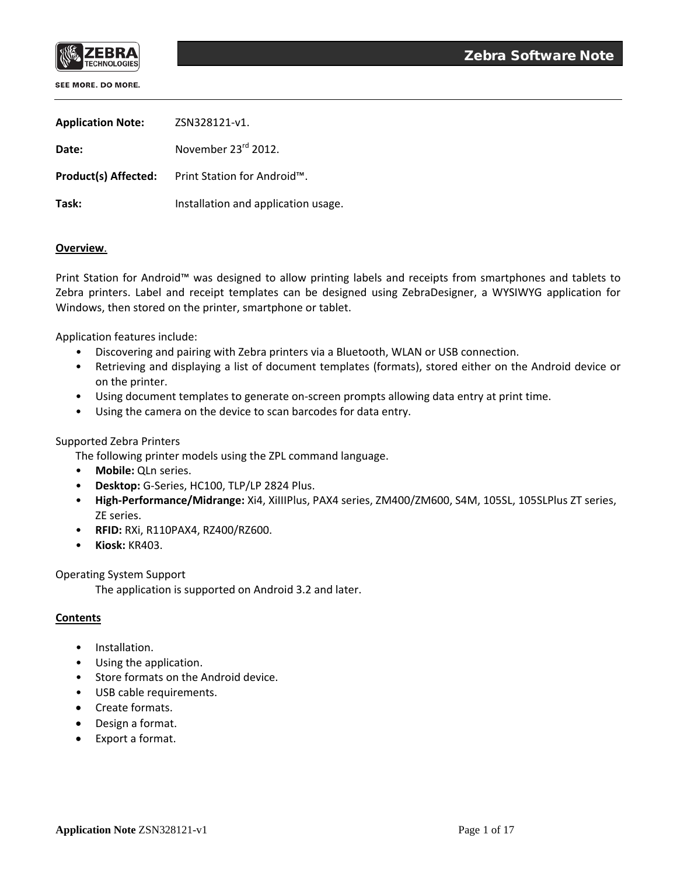

| <b>Application Note:</b> | ZSN328121-v1.                                                        |
|--------------------------|----------------------------------------------------------------------|
| Date:                    | November 23 <sup>rd</sup> 2012.                                      |
|                          | <b>Product(s) Affected:</b> Print Station for Android <sup>™</sup> . |
| Task:                    | Installation and application usage.                                  |

## **Overview**.

Print Station for Android™ was designed to allow printing labels and receipts from smartphones and tablets to Zebra printers. Label and receipt templates can be designed using ZebraDesigner, a WYSIWYG application for Windows, then stored on the printer, smartphone or tablet.

Application features include:

- Discovering and pairing with Zebra printers via a Bluetooth, WLAN or USB connection.
- Retrieving and displaying a list of document templates (formats), stored either on the Android device or on the printer.
- Using document templates to generate on-screen prompts allowing data entry at print time.
- Using the camera on the device to scan barcodes for data entry.

## Supported Zebra Printers

The following printer models using the ZPL command language.

- **Mobile:** QLn series.
- **Desktop:** G-Series, HC100, TLP/LP 2824 Plus.
- **High-Performance/Midrange:** Xi4, XiIIIPlus, PAX4 series, ZM400/ZM600, S4M, 105SL, 105SLPlus ZT series, ZE series.
- **RFID:** RXi, R110PAX4, RZ400/RZ600.
- **Kiosk:** KR403.

Operating System Support

The application is supported on Android 3.2 and later.

#### **Contents**

- Installation.
- Using the application.
- Store formats on the Android device.
- USB cable requirements.
- Create formats.
- Design a format.
- Export a format.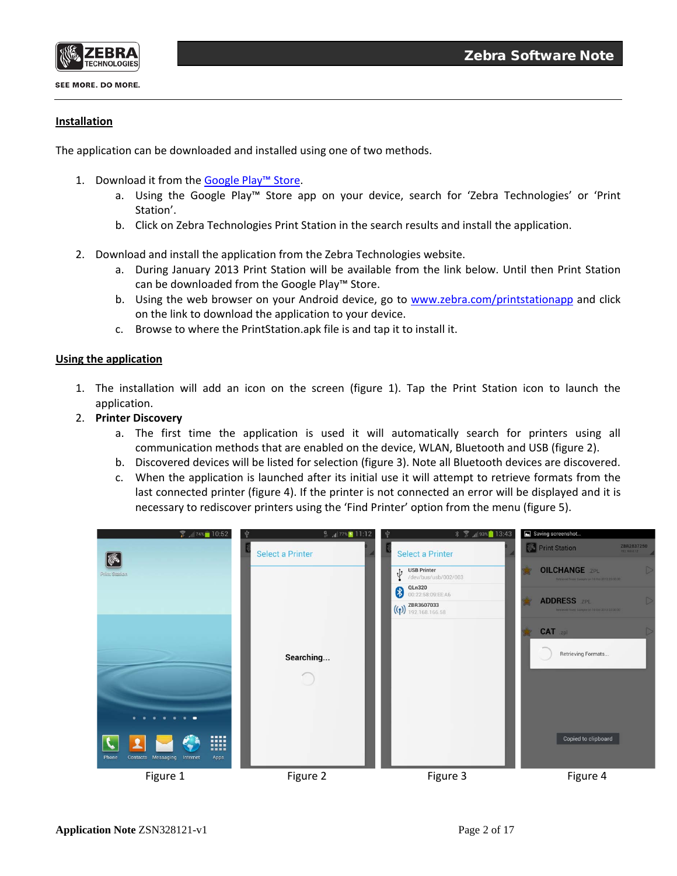

# **Installation**

The application can be downloaded and installed using one of two methods.

- 1. Download it from the [Google Play™ Store.](http://play.google.com/store/search?q=pub:Zebra%20Technologies)
	- a. Using the Google Play™ Store app on your device, search for 'Zebra Technologies' or 'Print Station'.
	- b. Click on Zebra Technologies Print Station in the search results and install the application.
- 2. Download and install the application from the Zebra Technologies website.
	- a. During January 2013 Print Station will be available from the link below. Until then Print Station can be downloaded from the Google Play™ Store.
	- b. Using the web browser on your Android device, go to [www.zebra.com/printstationapp](http://www.zebra.com/printstationapp) and click on the link to download the application to your device.
	- c. Browse to where the PrintStation.apk file is and tap it to install it.

## **Using the application**

- 1. The installation will add an icon on the screen (figure 1). Tap the Print Station icon to launch the application.
- 2. **Printer Discovery**
	- a. The first time the application is used it will automatically search for printers using all communication methods that are enabled on the device, WLAN, Bluetooth and USB (figure 2).
	- b. Discovered devices will be listed for selection (figure 3). Note all Bluetooth devices are discovered.
	- c. When the application is launched after its initial use it will attempt to retrieve formats from the last connected printer (figure 4). If the printer is not connected an error will be displayed and it is necessary to rediscover printers using the 'Find Printer' option from the menu (figure 5).

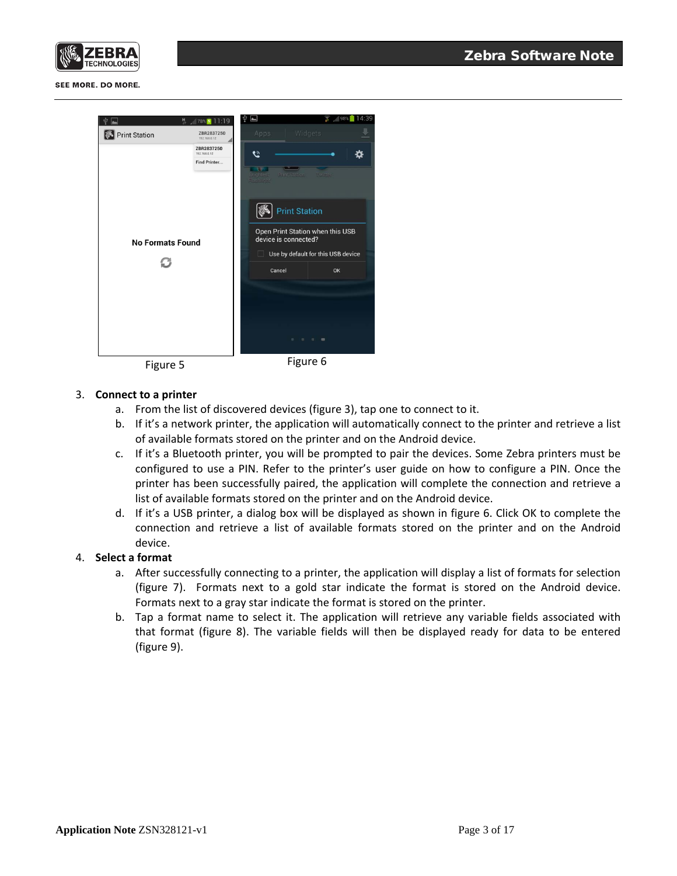



| 븼<br><b>Print Station</b>     | $78\%$ 78% 11:19<br>ZBR2837250<br>192.168.0.12 | Ŵ<br>$\overline{\phantom{a}}$<br>Apps         | Widgets                                                                                                                                                                  | 4:39<br>$\frac{1}{11}$ 98% |
|-------------------------------|------------------------------------------------|-----------------------------------------------|--------------------------------------------------------------------------------------------------------------------------------------------------------------------------|----------------------------|
| <b>No Formats Found</b><br>£3 | ZBR2837250<br>192.168.0.12<br>Find Printer     | Q<br>THE<br>Brightest<br>Flashlight<br>Cancel | ∾<br>Print Station<br><b>Print Station</b><br>Open Print Station when this USB<br>device is connected?<br>Use by default for this USB device<br>$\blacksquare$<br>$\sim$ | <b>Twitter</b><br>OK       |



## 3. **Connect to a printer**

- a. From the list of discovered devices (figure 3), tap one to connect to it.
- b. If it's a network printer, the application will automatically connect to the printer and retrieve a list of available formats stored on the printer and on the Android device.
- c. If it's a Bluetooth printer, you will be prompted to pair the devices. Some Zebra printers must be configured to use a PIN. Refer to the printer's user guide on how to configure a PIN. Once the printer has been successfully paired, the application will complete the connection and retrieve a list of available formats stored on the printer and on the Android device.
- d. If it's a USB printer, a dialog box will be displayed as shown in figure 6. Click OK to complete the connection and retrieve a list of available formats stored on the printer and on the Android device.

## 4. **Select a format**

- a. After successfully connecting to a printer, the application will display a list of formats for selection (figure 7). Formats next to a gold star indicate the format is stored on the Android device. Formats next to a gray star indicate the format is stored on the printer.
- b. Tap a format name to select it. The application will retrieve any variable fields associated with that format (figure 8). The variable fields will then be displayed ready for data to be entered (figure 9).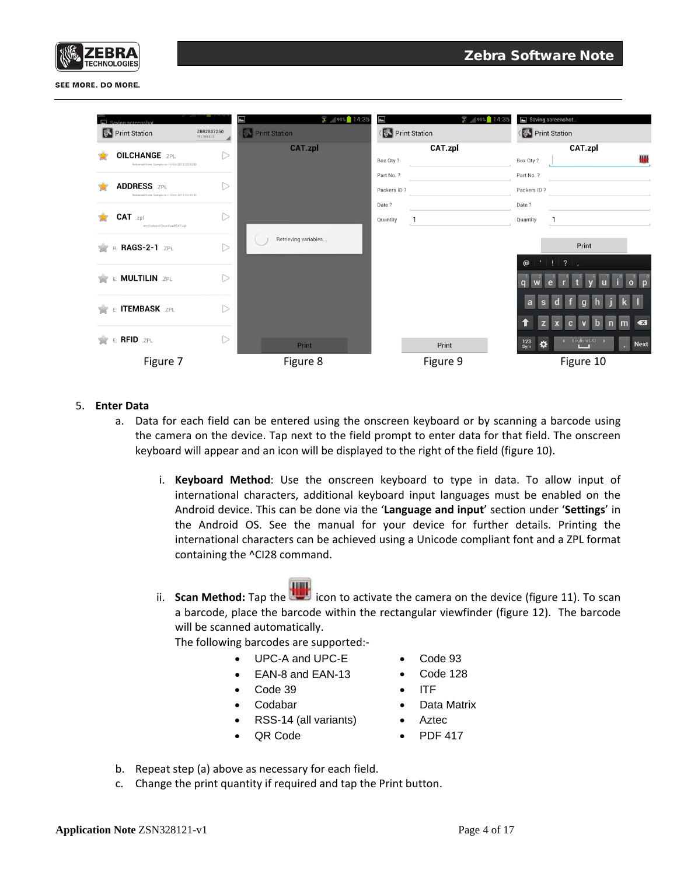

| Saving screenshot<br><b>S</b> Print Station                             | ZBR2837250<br>192.168.0.12 | $\blacksquare$<br>$35$ 99% 14:35<br><b>Print Station</b> | $\frac{1}{11}$ 99% 14:35<br>$\blacksquare$<br>Print Station | Saving screenshot<br>Print Station                    |
|-------------------------------------------------------------------------|----------------------------|----------------------------------------------------------|-------------------------------------------------------------|-------------------------------------------------------|
|                                                                         |                            | <b>CAT.zpl</b>                                           | CAT.zpl                                                     | CAT.zpl                                               |
| <b>OILCHANGE .ZPL</b><br>Retrieved from: Sample on 16 Oct 2012 23:30:32 |                            |                                                          | Box Qty?                                                    | ₩<br>Box Qty?                                         |
|                                                                         |                            |                                                          | Part No. ?                                                  | Part No. ?                                            |
| <b>ADDRESS .ZPL</b><br>Retrieved from: Sample on 16 Oct 2012 23:30:32   | ⊃                          |                                                          | Packers ID?                                                 | Packers ID?                                           |
|                                                                         |                            |                                                          | Date ?                                                      | Date ?                                                |
| CAT .zpl<br>/mnt/sdcard/Download/CAT.zpl                                | D                          |                                                          | Quantity                                                    | Quantity                                              |
| R: RAGS-2-1 .ZPL                                                        | D                          | Retrieving variables                                     |                                                             | Print                                                 |
| E: MULTILIN .ZPL                                                        | D                          |                                                          |                                                             | @ ' ! ?                                               |
| E: ITEMBASK .ZPL                                                        | D                          |                                                          |                                                             | a                                                     |
|                                                                         |                            |                                                          |                                                             | $\sqrt{x}$<br>z                                       |
| E: RFID .ZPL                                                            | D                          | Print                                                    | Print                                                       | 4 English(UK)<br>123<br>₩<br><b>Next</b><br>ö.<br>Sym |
| Figure 7                                                                |                            | Figure 8                                                 | Figure 9                                                    | Figure 10                                             |

#### 5. **Enter Data**

- a. Data for each field can be entered using the onscreen keyboard or by scanning a barcode using the camera on the device. Tap next to the field prompt to enter data for that field. The onscreen keyboard will appear and an icon will be displayed to the right of the field (figure 10).
	- i. **Keyboard Method**: Use the onscreen keyboard to type in data. To allow input of international characters, additional keyboard input languages must be enabled on the Android device. This can be done via the '**Language and input**' section under '**Settings**' in the Android OS. See the manual for your device for further details. Printing the international characters can be achieved using a Unicode compliant font and a ZPL format containing the ^CI28 command.
	- ii. **Scan Method:** Tap the **interpreneuse the camera** on the device (figure 11). To scan a barcode, place the barcode within the rectangular viewfinder (figure 12). The barcode will be scanned automatically.

The following barcodes are supported:-

- UPC-A and UPC-E
- EAN-8 and EAN-13
- Code 39
- Codabar
- RSS-14 (all variants)
- QR Code
- Code 93
- Code 128
- ITF
- Data Matrix
- Aztec
- PDF 417
- b. Repeat step (a) above as necessary for each field.
- c. Change the print quantity if required and tap the Print button.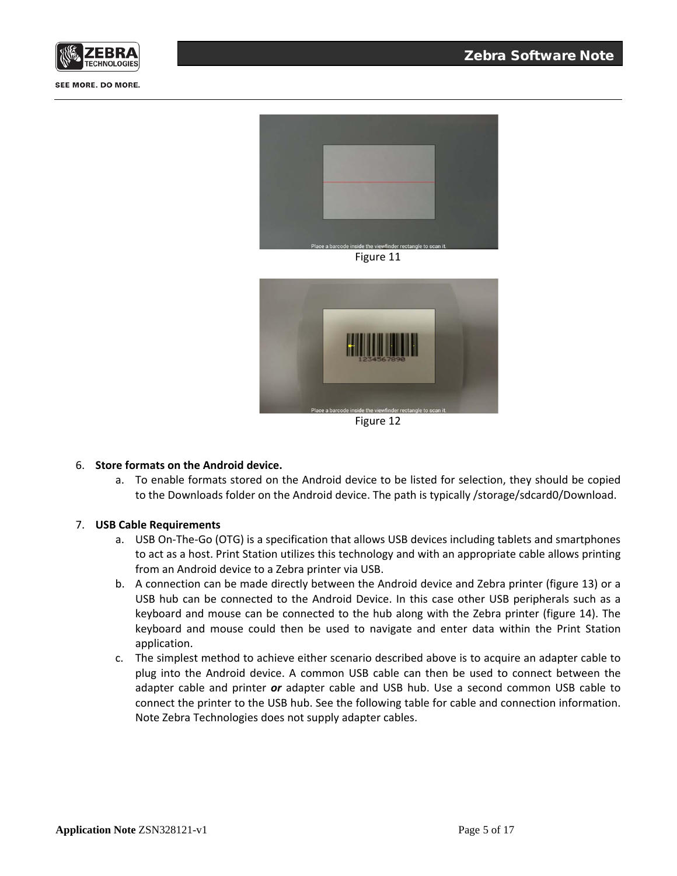



Figure 11



Figure 12

## 6. **Store formats on the Android device.**

a. To enable formats stored on the Android device to be listed for selection, they should be copied to the Downloads folder on the Android device. The path is typically /storage/sdcard0/Download.

#### 7. **USB Cable Requirements**

- a. USB On-The-Go (OTG) is a specification that allows USB devices including tablets and smartphones to act as a host. Print Station utilizes this technology and with an appropriate cable allows printing from an Android device to a Zebra printer via USB.
- b. A connection can be made directly between the Android device and Zebra printer (figure 13) or a USB hub can be connected to the Android Device. In this case other USB peripherals such as a keyboard and mouse can be connected to the hub along with the Zebra printer (figure 14). The keyboard and mouse could then be used to navigate and enter data within the Print Station application.
- c. The simplest method to achieve either scenario described above is to acquire an adapter cable to plug into the Android device. A common USB cable can then be used to connect between the adapter cable and printer *or* adapter cable and USB hub. Use a second common USB cable to connect the printer to the USB hub. See the following table for cable and connection information. Note Zebra Technologies does not supply adapter cables.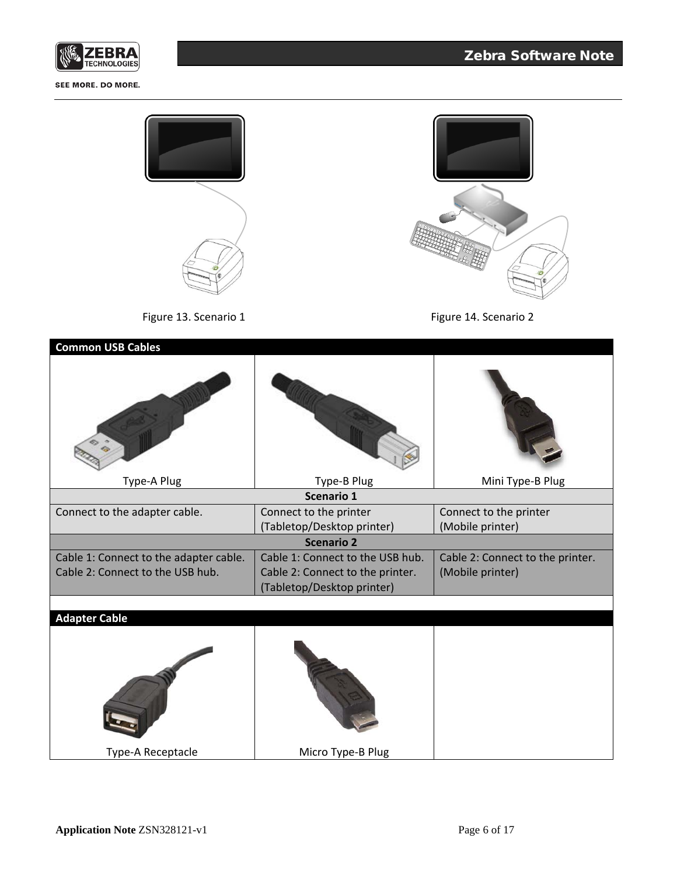

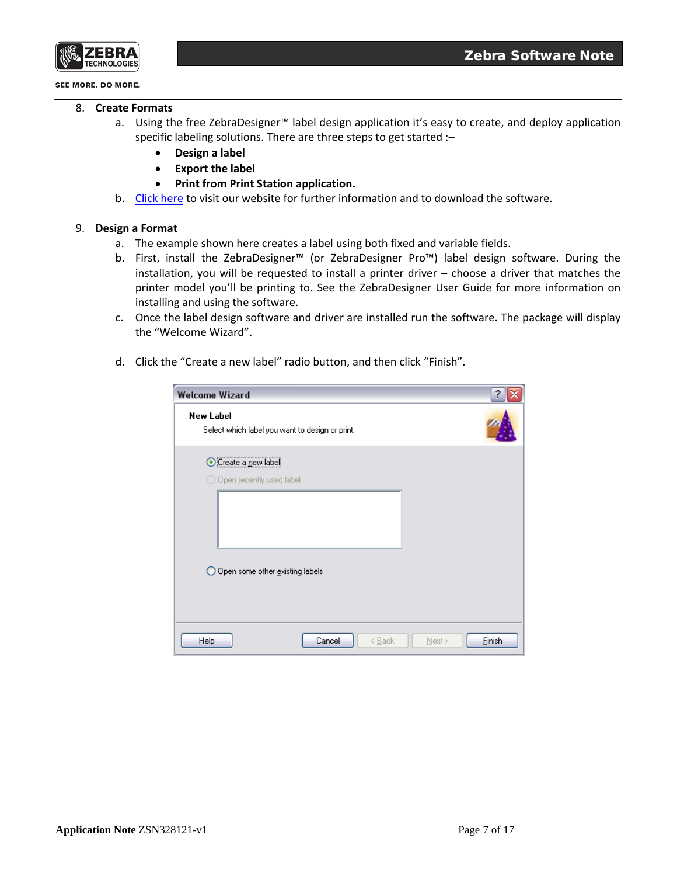

- 8. **Create Formats**
	- a. Using the free ZebraDesigner™ label design application it's easy to create, and deploy application specific labeling solutions. There are three steps to get started :–
		- **Design a label**
		- **Export the label**
		- **Print from Print Station application.**
	- b. [Click here](http://www.zebra.com/us/en/products-services/software/design-software.html) to visit our website for further information and to download the software.

## 9. **Design a Format**

- a. The example shown here creates a label using both fixed and variable fields.
- b. First, install the ZebraDesigner™ (or ZebraDesigner Pro™) label design software. During the installation, you will be requested to install a printer driver – choose a driver that matches the printer model you'll be printing to. See the ZebraDesigner User Guide for more information on installing and using the software.
- c. Once the label design software and driver are installed run the software. The package will display the "Welcome Wizard".
- d. Click the "Create a new label" radio button, and then click "Finish".

| <b>Welcome Wizard</b>                                                                              |        |                |           |        |
|----------------------------------------------------------------------------------------------------|--------|----------------|-----------|--------|
| <b>New Label</b><br>Select which label you want to design or print.                                |        |                |           |        |
| <br>Create a new label<br>$\bigcirc$ Open recently used label<br>◯ Open some other existing labels |        |                |           |        |
| Help                                                                                               | Cancel | < <u>B</u> ack | $N$ ext > | Einish |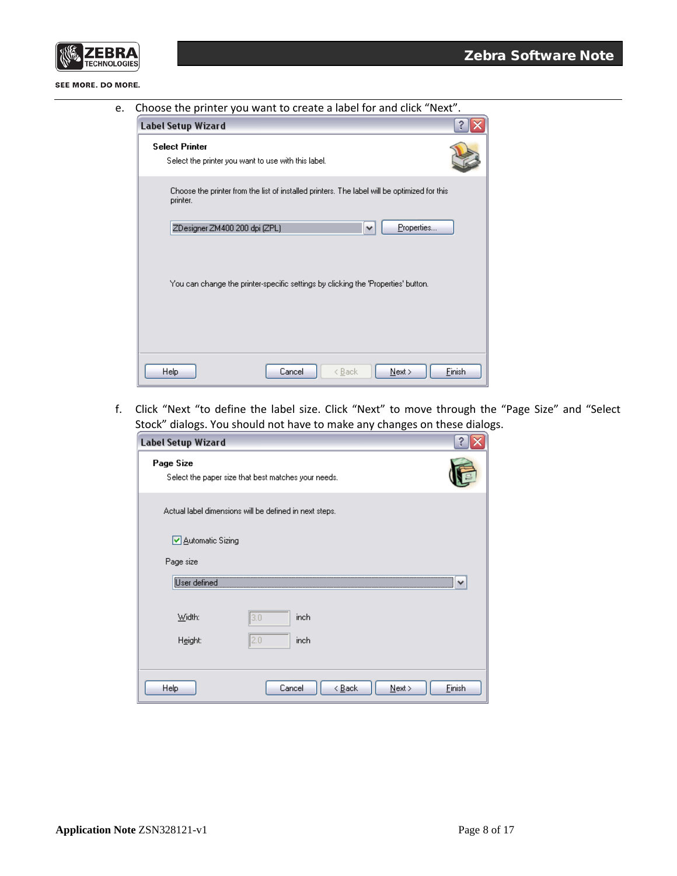

e. Choose the printer you want to create a label for and click "Next".

| <b>Label Setup Wizard</b>                                                                                |        |
|----------------------------------------------------------------------------------------------------------|--------|
| <b>Select Printer</b><br>Select the printer you want to use with this label.                             |        |
| Choose the printer from the list of installed printers. The label will be optimized for this<br>printer. |        |
| Properties<br>ZDesigner ZM400 200 dpi [ZPL]<br>v                                                         |        |
| You can change the printer-specific settings by clicking the 'Properties' button.                        |        |
| Cancel<br><b>Help</b><br>< <u>B</u> ack<br>Next                                                          | Finish |

f. Click "Next "to define the label size. Click "Next" to move through the "Page Size" and "Select Stock" dialogs. You should not have to make any changes on these dialogs.

| <b>Label Setup Wizard</b> |                                                        |                     |
|---------------------------|--------------------------------------------------------|---------------------|
| Page Size                 | Select the paper size that best matches your needs.    |                     |
|                           | Actual label dimensions will be defined in next steps. |                     |
| ☑ Automatic Sizing        |                                                        |                     |
| Page size                 |                                                        |                     |
| User defined              |                                                        | v                   |
| Width:                    | inch<br>3.0                                            |                     |
| Height:                   | 2.0<br>inch                                            |                     |
|                           |                                                        |                     |
| Help                      | Cancel<br>< <u>B</u> ack                               | Finish<br>$N$ ext > |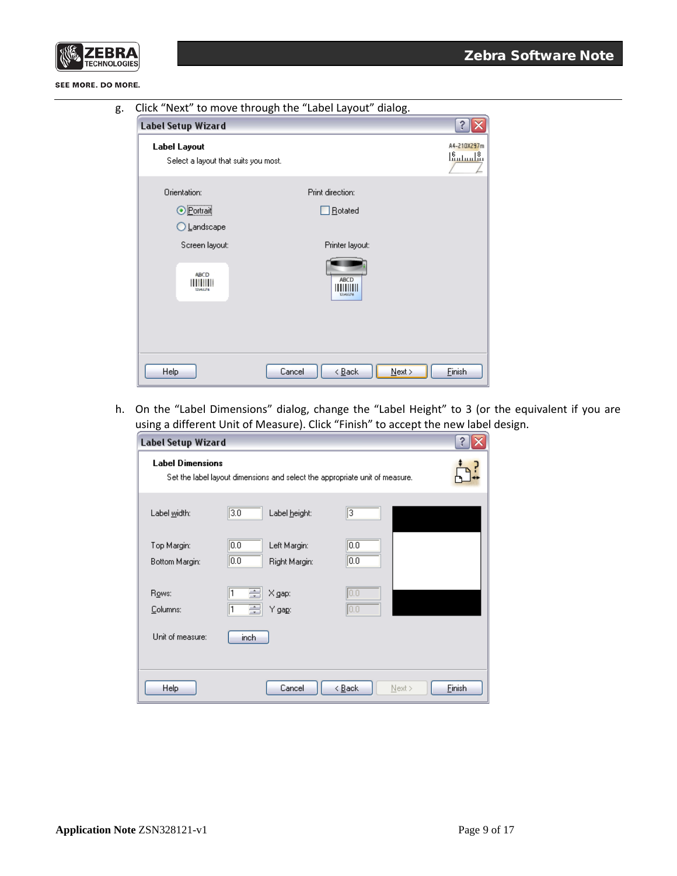

| g. Click "Next" to move through the "Label Layout" dialog. |  |  |  |
|------------------------------------------------------------|--|--|--|
|                                                            |  |  |  |

| <b>Label Setup Wizard</b>                                    |                                            |                                 |
|--------------------------------------------------------------|--------------------------------------------|---------------------------------|
| <b>Label Layout</b><br>Select a layout that suits you most.  |                                            | A4-210X297m<br><u> 16 դրակա</u> |
| Orientation:<br><br><b>O</b> Portrait<br>◯ <u>L</u> andscape | Print direction:<br>Rotated                |                                 |
| Screen layout:<br><b>ABCD</b><br>'IIII<br>12046376           | Printer layout:<br><b>ABCD</b><br>12045376 |                                 |
| Help                                                         | $N$ ext ><br>Cancel<br>< <u>B</u> ack      | Einish                          |

h. On the "Label Dimensions" dialog, change the "Label Height" to 3 (or the equivalent if you are using a different Unit of Measure). Click "Finish" to accept the new label design.

| <b>Label Setup Wizard</b>                                                                              |                                                |                          |        |  |
|--------------------------------------------------------------------------------------------------------|------------------------------------------------|--------------------------|--------|--|
| <b>Label Dimensions</b><br>Set the label layout dimensions and select the appropriate unit of measure. |                                                |                          |        |  |
| Label width:                                                                                           | $\overline{3.0}$<br>Label height:              | 3                        |        |  |
| Top Margin:<br>Bottom Margin:                                                                          | 0.0 <br>Left Margin:<br> 0.0 <br>Right Margin: | 0.0 <br>$\overline{0.0}$ |        |  |
| Rows:<br>Columns:                                                                                      | ÷<br>X gap:<br>÷<br>Y ga <u>p</u> :            | 0,0 <br> 0,0             |        |  |
| Unit of measure:                                                                                       | inch                                           |                          |        |  |
| Help                                                                                                   | Cancel                                         | < <u>B</u> ack<br>Next > | Einish |  |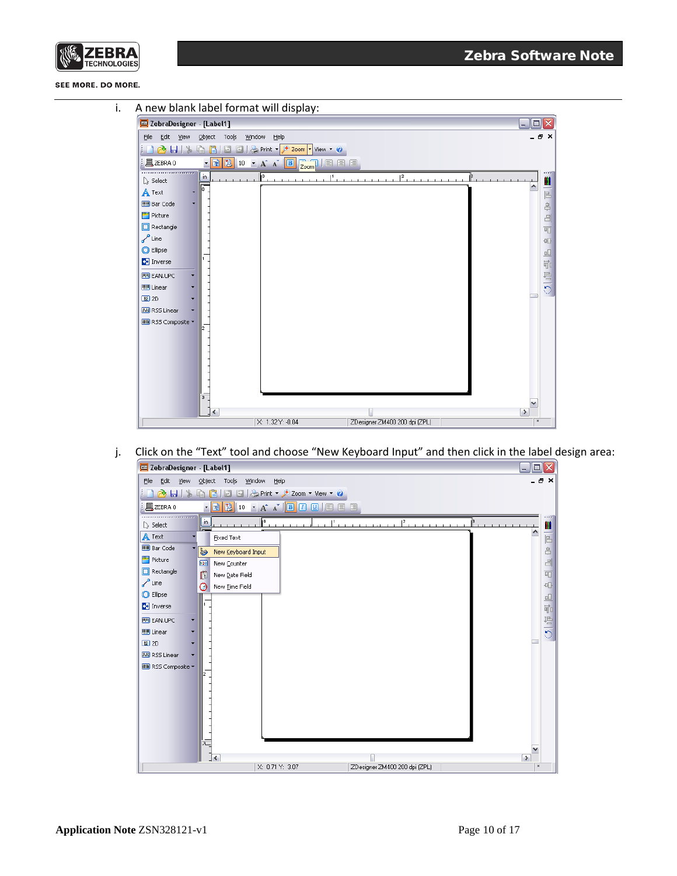



j. Click on the "Text" tool and choose "New Keyboard Input" and then click in the label design area:

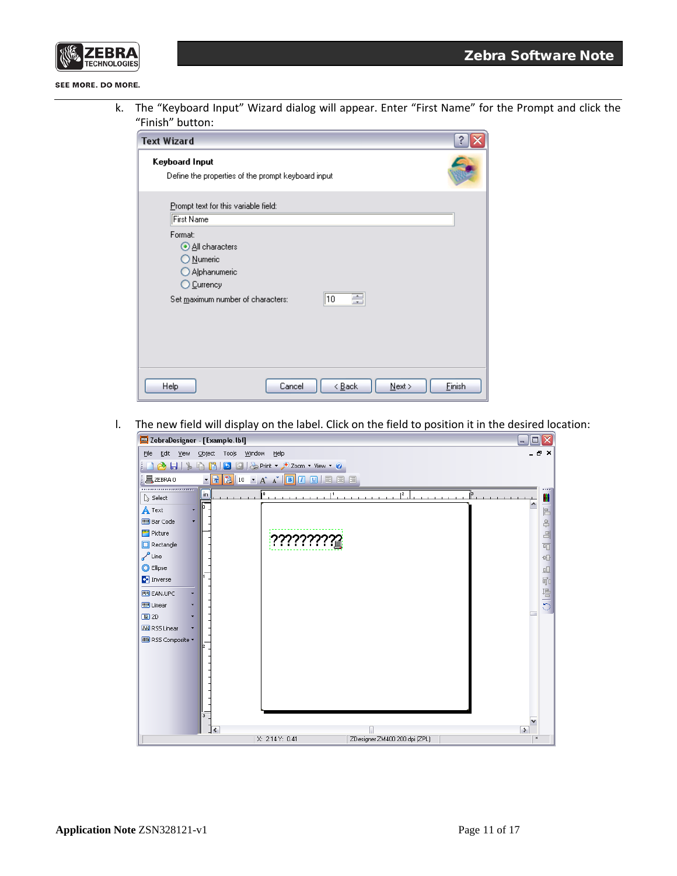

k. The "Keyboard Input" Wizard dialog will appear. Enter "First Name" for the Prompt and click the "Finish" button:

| <b>Text Wizard</b>                                                                                                    |
|-----------------------------------------------------------------------------------------------------------------------|
| Keyboard Input<br>Define the properties of the prompt keyboard input                                                  |
| Prompt text for this variable field:<br>First Name                                                                    |
| Format:<br>All characters<br>O Numeric<br>Alphanumeric<br>O Currency<br>∥10<br>≣<br>Set maximum number of characters: |
| Finish<br>Cancel<br>< <u>B</u> ack<br>$N$ ext ><br><b>Help</b>                                                        |

l. The new field will display on the label. Click on the field to position it in the desired location:

| ZebraDesigner - [Example.lbl]                                                                                           | $\Box$ $\Box$ $\times$                 |
|-------------------------------------------------------------------------------------------------------------------------|----------------------------------------|
| Edit<br><b>View</b><br>$Q$ bject<br>Tools<br>Window Help<br>Eile                                                        | . 8 X                                  |
| <b>b</b> $\bigcirc$ $\bigcirc$ Print $\cdot$ $\bigcirc$ Zoom $\cdot$ View $\cdot$ <b>O</b><br>$\blacksquare$<br>G)<br>ß |                                        |
| • 13 3 10 · A ^ B 0 9 日 日 目 目<br>$\mathbb{I}$ ZEBRA0                                                                    |                                        |
| .<br>in<br>o<br>$\mathsf{I}^2$<br>β<br>Select                                                                           | n                                      |
| 10.<br>A Text<br>۰                                                                                                      | $\overline{E}$                         |
| <b>IIII</b> Bar Code                                                                                                    | <u>දි</u>                              |
| Picture                                                                                                                 | 日                                      |
| $\Box$ Rectangle                                                                                                        | 呵                                      |
| $\sqrt{\phantom{a}}$ Line                                                                                               | $\oplus$                               |
| C Ellipse                                                                                                               | $\Box$                                 |
| <b>C+</b> Inverse                                                                                                       | 司                                      |
| <b>FIII EAN.UPC</b>                                                                                                     | ワール                                    |
| <b>UU</b> Linear                                                                                                        |                                        |
| 圖 2D<br><b>M</b> RSS Linear                                                                                             |                                        |
| <b>MI RSS Composite</b>                                                                                                 |                                        |
|                                                                                                                         |                                        |
|                                                                                                                         |                                        |
|                                                                                                                         |                                        |
|                                                                                                                         |                                        |
|                                                                                                                         |                                        |
| $\overline{3}$                                                                                                          |                                        |
|                                                                                                                         |                                        |
| K<br>X: 2.14 Y: 0.41<br>ZDesigner ZM400 200 dpi (ZPL)                                                                   | $\rightarrow$<br>$\boldsymbol{\times}$ |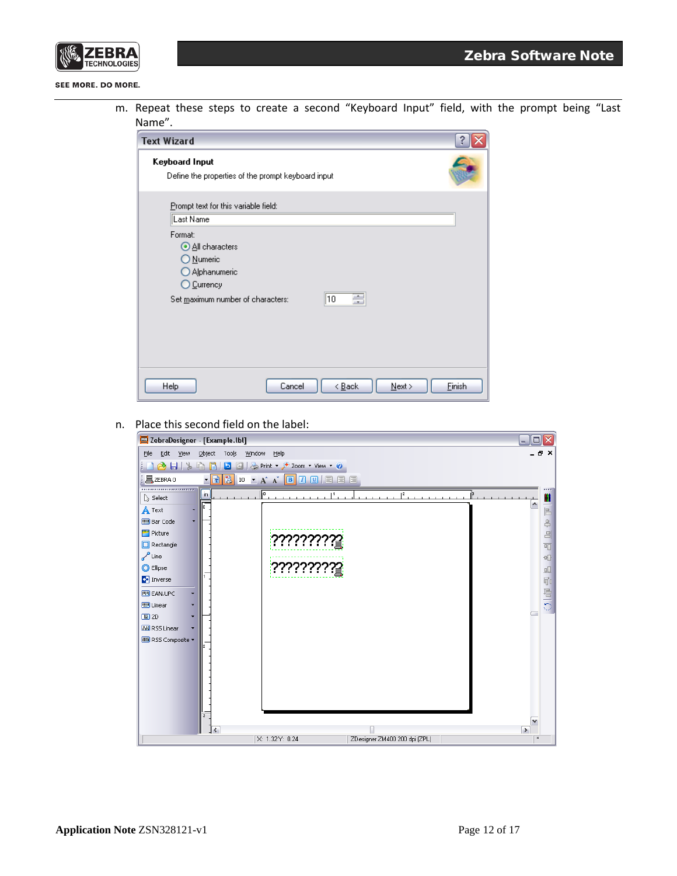

m. Repeat these steps to create a second "Keyboard Input" field, with the prompt being "Last Name".

| 2<br><b>Text Wizard</b>                                                                                               |
|-----------------------------------------------------------------------------------------------------------------------|
| Keyboard Input<br>Define the properties of the prompt keyboard input                                                  |
| Prompt text for this variable field:<br>Last Name                                                                     |
| Format:<br>All characters<br>O Numeric<br>Alphanumeric<br>O Currency<br>畺<br>∥10<br>Set maximum number of characters: |
| <b>Finish</b><br>Cancel<br>< <u>B</u> ack<br><b>Help</b><br>Next                                                      |

n. Place this second field on the label:

| ZebraDesigner - [Example.lbl]                                                                                                                                                                                                                       |                                                                        | $\Box$ $\Box$ $\times$                                                               |
|-----------------------------------------------------------------------------------------------------------------------------------------------------------------------------------------------------------------------------------------------------|------------------------------------------------------------------------|--------------------------------------------------------------------------------------|
| Edit<br><b>View</b><br>Eile                                                                                                                                                                                                                         | Object Tools Window<br>Help                                            | a x                                                                                  |
| $1$ $\Delta$ $\blacksquare$ $\uparrow$                                                                                                                                                                                                              | <b>Q B B B B C C</b> Print <b>P</b> Zoom <b>v</b> View <b>C</b>        |                                                                                      |
| 且ZEBRA0                                                                                                                                                                                                                                             | • 1 2 10 · A A B 0 0 日 日 日 日                                           |                                                                                      |
| <br>in<br>Select<br>$\mathbf{A}$ Text<br>٠<br><b>IIII</b> Bar Code<br>Picture<br>Rectangle<br>$\sqrt{ }$ Line<br>C Ellipse<br><b>C+</b> Inverse<br><b>IPI EAN.UPC</b><br><b>UU</b> Linear<br>图 2D<br><b>M</b> RSS Linear<br><b>MM</b> RSS Composite | ŀ٥<br>12<br>ıз<br><b>BUCLICILITY</b><br><u> לינולליללי</u>             | Ш<br>۸<br>$\Box$<br>$\triangleq$<br>$\Box$<br>呵<br>$\Box\Box$<br>品前<br>$\frac{1}{2}$ |
| 3                                                                                                                                                                                                                                                   | $\rightarrow$<br>⋜<br>X: 1.32 Y: 0.24<br>ZDesigner ZM400 200 dpi (ZPL) | $\boldsymbol{\times}$                                                                |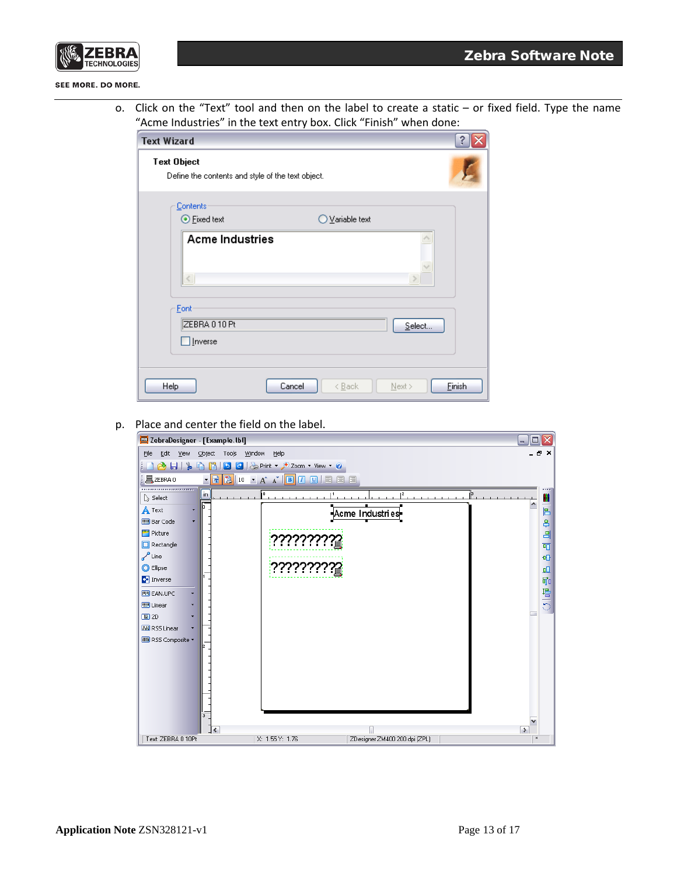

o. Click on the "Text" tool and then on the label to create a static – or fixed field. Type the name "Acme Industries" in the text entry box. Click "Finish" when done:

| <b>Text Wizard</b>                                                      |                  |  |  |  |  |  |
|-------------------------------------------------------------------------|------------------|--|--|--|--|--|
| <b>Text Object</b><br>Define the contents and style of the text object. |                  |  |  |  |  |  |
| Contents<br>⊙ Fixed text<br>◯ Variable text                             |                  |  |  |  |  |  |
| <b>Acme Industries</b>                                                  | $\rightarrow$    |  |  |  |  |  |
| Eont<br>ZEBRA 0 10 Pt<br>Inverse                                        | Select           |  |  |  |  |  |
| Cancel<br>Help<br>< <u>B</u> ack                                        | Einish<br>Next > |  |  |  |  |  |

p. Place and center the field on the label.

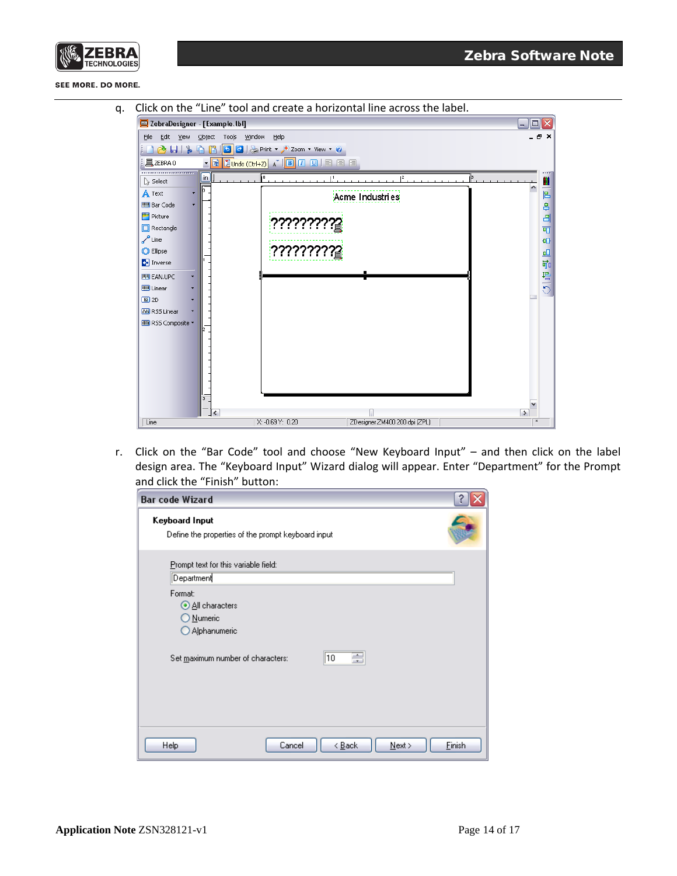



q. Click on the "Line" tool and create a horizontal line across the label.



r. Click on the "Bar Code" tool and choose "New Keyboard Input" – and then click on the label design area. The "Keyboard Input" Wizard dialog will appear. Enter "Department" for the Prompt and click the "Finish" button:

| <b>Bar code Wizard</b>                                               |  |  |  |  |
|----------------------------------------------------------------------|--|--|--|--|
| Keyboard Input<br>Define the properties of the prompt keyboard input |  |  |  |  |
| Prompt text for this variable field:<br>Department                   |  |  |  |  |
| Format:<br><b>O All characters</b><br>O Numeric<br>Alphanumeric      |  |  |  |  |
| ÷<br>10<br>Set maximum number of characters:                         |  |  |  |  |
| Einish<br>Cancel<br>< <u>B</u> ack<br>$N$ ext ><br>Help              |  |  |  |  |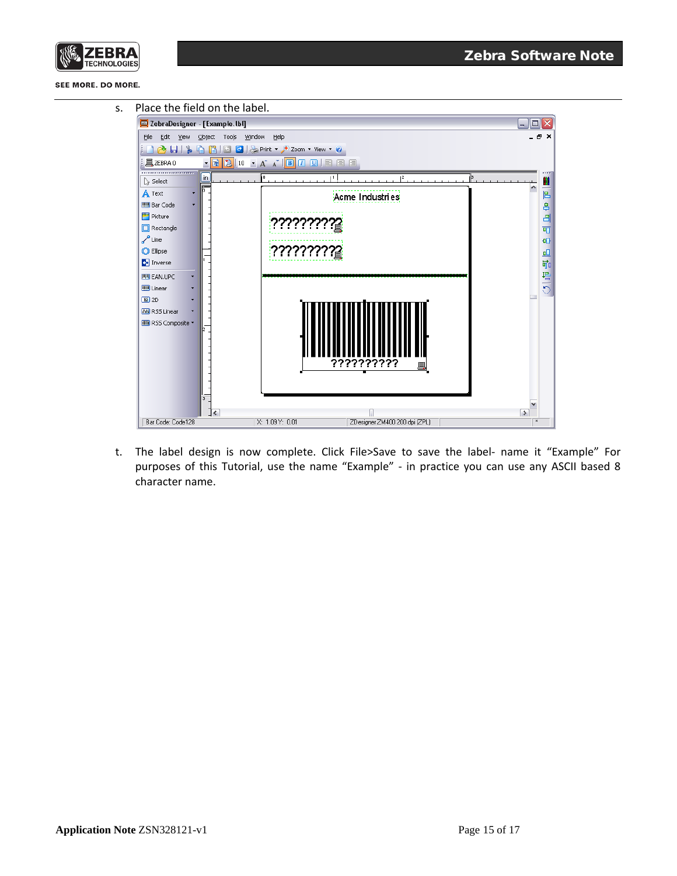



t. The label design is now complete. Click File>Save to save the label- name it "Example" For purposes of this Tutorial, use the name "Example" - in practice you can use any ASCII based 8 character name.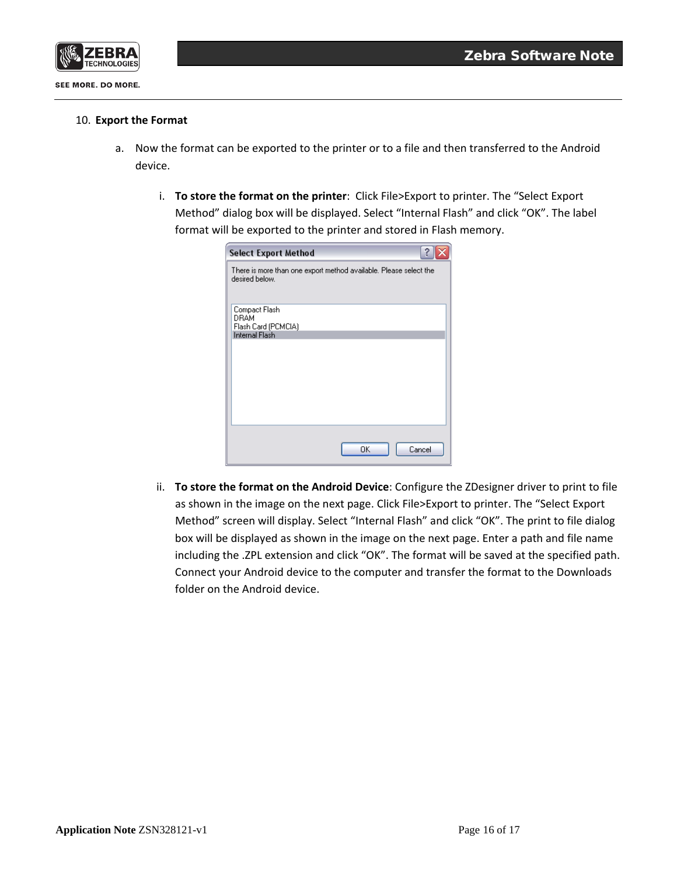

#### 10. **Export the Format**

- a. Now the format can be exported to the printer or to a file and then transferred to the Android device.
	- i. **To store the format on the printer**: Click File>Export to printer. The "Select Export Method" dialog box will be displayed. Select "Internal Flash" and click "OK". The label format will be exported to the printer and stored in Flash memory.

| <b>Select Export Method</b>                                                         |
|-------------------------------------------------------------------------------------|
| There is more than one export method available. Please select the<br>desired below. |
| Compact Flash<br>DRAM<br>Flash Card (PCMCIA)                                        |
| <b>Internal Flash</b>                                                               |
|                                                                                     |
|                                                                                     |
|                                                                                     |
|                                                                                     |
| OK<br>Cancel                                                                        |

ii. **To store the format on the Android Device**: Configure the ZDesigner driver to print to file as shown in the image on the next page. Click File>Export to printer. The "Select Export Method" screen will display. Select "Internal Flash" and click "OK". The print to file dialog box will be displayed as shown in the image on the next page. Enter a path and file name including the .ZPL extension and click "OK". The format will be saved at the specified path. Connect your Android device to the computer and transfer the format to the Downloads folder on the Android device.